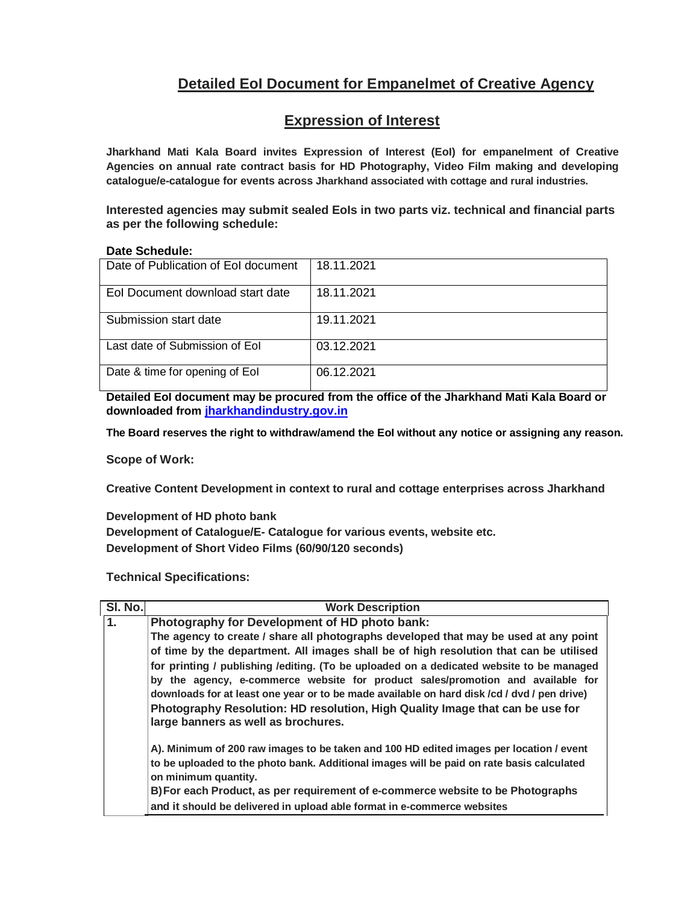# **Detailed EoI Document for Empanelmet of Creative Agency**

## **Expression of Interest**

**Jharkhand Mati Kala Board invites Expression of Interest (EoI) for empanelment of Creative Agencies on annual rate contract basis for HD Photography, Video Film making and developing catalogue/e-catalogue for events across Jharkhand associated with cottage and rural industries.**

Interested agencies may submit sealed EoIs in two parts viz. technical and financial parts **as per the following schedule:**

#### **Date Schedule:**

| Date of Publication of Eol document | 18.11.2021 |
|-------------------------------------|------------|
| Eol Document download start date    | 18.11.2021 |
| Submission start date               | 19.11.2021 |
| Last date of Submission of Eol      | 03.12.2021 |
| Date & time for opening of Eol      | 06.12.2021 |

**Detailed EoI document may be procured from the office of the Jharkhand Mati Kala Board or downloaded from jharkhandindustry.gov.in**

**The Board reserves the right to withdraw/amend the EoI without any notice or assigning any reason.**

**Scope of Work:**

**Creative Content Development in context to rural and cottage enterprises across Jharkhand**

**Development of HD photo bank Development of Catalogue/E- Catalogue for various events, website etc. Development of Short Video Films (60/90/120 seconds)**

**Technical Specifications:**

| SI. No. | <b>Work Description</b>                                                                                                                                                                                                                                                                                                                                                                             |  |  |  |  |
|---------|-----------------------------------------------------------------------------------------------------------------------------------------------------------------------------------------------------------------------------------------------------------------------------------------------------------------------------------------------------------------------------------------------------|--|--|--|--|
| 1.      | Photography for Development of HD photo bank:                                                                                                                                                                                                                                                                                                                                                       |  |  |  |  |
|         | The agency to create / share all photographs developed that may be used at any point                                                                                                                                                                                                                                                                                                                |  |  |  |  |
|         | of time by the department. All images shall be of high resolution that can be utilised                                                                                                                                                                                                                                                                                                              |  |  |  |  |
|         | for printing / publishing / editing. (To be uploaded on a dedicated website to be managed<br>by the agency, e-commerce website for product sales/promotion and available for<br>downloads for at least one year or to be made available on hard disk /cd / dvd / pen drive)<br>Photography Resolution: HD resolution, High Quality Image that can be use for<br>large banners as well as brochures. |  |  |  |  |
|         | A). Minimum of 200 raw images to be taken and 100 HD edited images per location / event<br>to be uploaded to the photo bank. Additional images will be paid on rate basis calculated<br>on minimum quantity.<br>B) For each Product, as per requirement of e-commerce website to be Photographs<br>and it should be delivered in upload able format in e-commerce websites                          |  |  |  |  |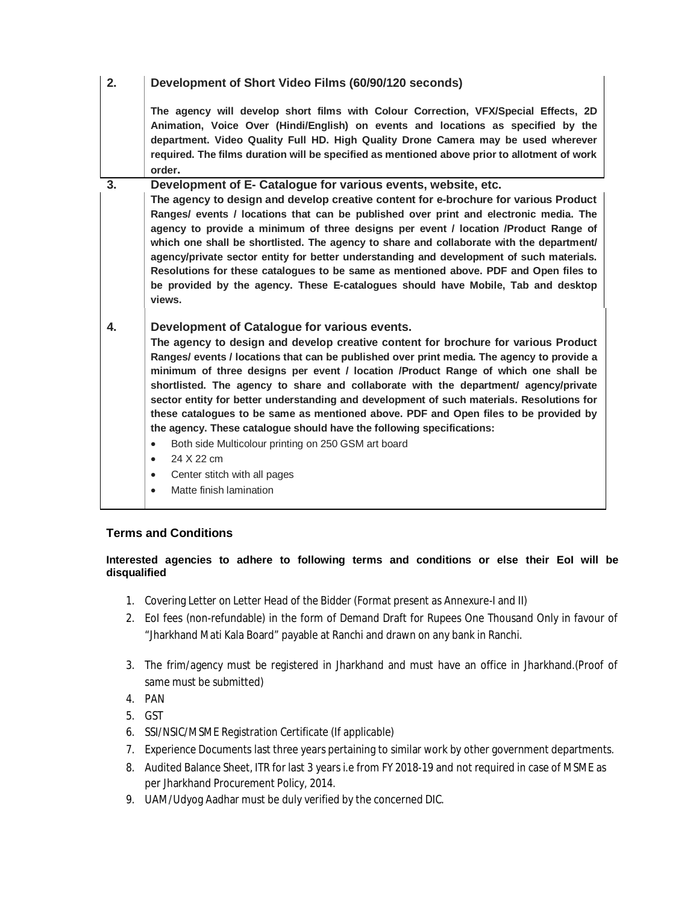### **2. Development of Short Video Films (60/90/120 seconds)**

**The agency will develop short films with Colour Correction, VFX/Special Effects, 2D Animation, Voice Over (Hindi/English) on events and locations as specified by the department. Video Quality Full HD. High Quality Drone Camera may be used wherever required. The films duration will be specified as mentioned above prior to allotment of work order.**

**3. Development of E- Catalogue for various events, website, etc. The agency to design and develop creative content for e-brochure for various Product Ranges/ events / locations that can be published over print and electronic media. The agency to provide a minimum of three designs per event / location /Product Range of which one shall be shortlisted. The agency to share and collaborate with the department/ agency/private sector entity for better understanding and development of such materials. Resolutions for these catalogues to be same as mentioned above. PDF and Open files to be provided by the agency. These E-catalogues should have Mobile, Tab and desktop views.**

**4. Development of Catalogue for various events. The agency to design and develop creative content for brochure for various Product Ranges/ events / locations that can be published over print media. The agency to provide a minimum of three designs per event / location /Product Range of which one shall be shortlisted. The agency to share and collaborate with the department/ agency/private sector entity for better understanding and development of such materials. Resolutions for these catalogues to be same as mentioned above. PDF and Open files to be provided by the agency. These catalogue should have the following specifications:**

- Both side Multicolour printing on 250 GSM art board
- 24 X 22 cm
- Center stitch with all pages
- Matte finish lamination

#### **Terms and Conditions**

#### **Interested agencies to adhere to following terms and conditions or else their EoI will be disqualified**

- 1. Covering Letter on Letter Head of the Bidder (Format present as Annexure-I and II)
- 2. EoI fees (non-refundable) in the form of Demand Draft for Rupees One Thousand Only in favour of "Jharkhand Mati Kala Board" payable at Ranchi and drawn on any bank in Ranchi.
- 3. The frim/agency must be registered in Jharkhand and must have an office in Jharkhand.(Proof of same must be submitted)
- 4. PAN
- 5. GST
- 6. SSI/NSIC/MSME Registration Certificate (If applicable)
- 7. Experience Documents last three years pertaining to similar work by other government departments.
- 8. Audited Balance Sheet, ITR for last 3 years i.e from FY 2018-19 and not required in case of MSME as per Jharkhand Procurement Policy, 2014.
- 9. UAM/Udyog Aadhar must be duly verified by the concerned DIC.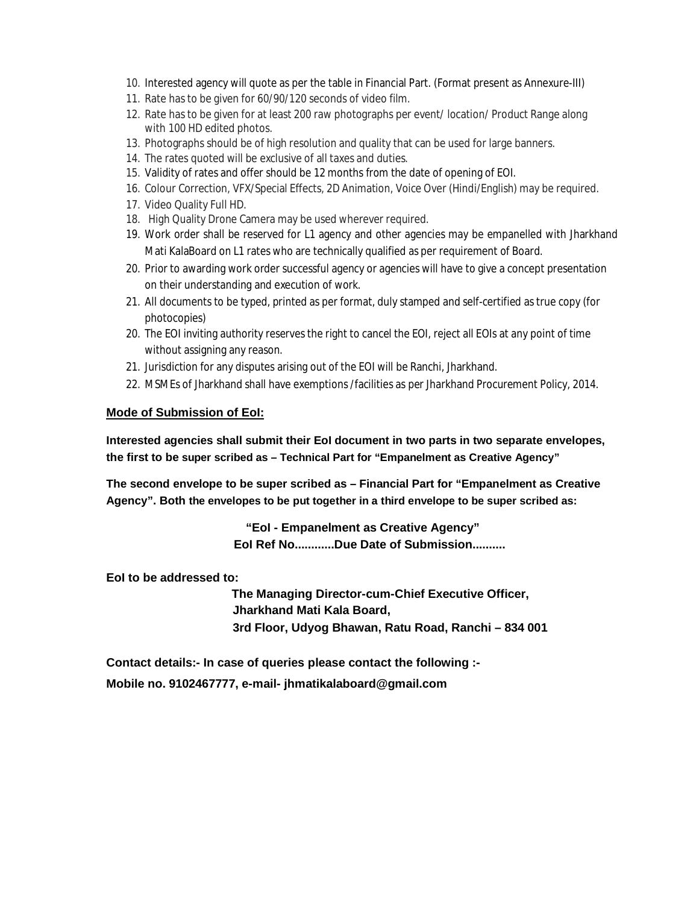- 10. Interested agency will quote as per the table in Financial Part. (Format present as Annexure-III)
- 11. Rate has to be given for 60/90/120 seconds of video film.
- 12. Rate has to be given for at least 200 raw photographs per event/ location/ Product Range along with 100 HD edited photos.
- 13. Photographs should be of high resolution and quality that can be used for large banners.
- 14. The rates quoted will be exclusive of all taxes and duties.
- 15. Validity of rates and offer should be 12 months from the date of opening of EOI.
- 16. Colour Correction, VFX/Special Effects, 2D Animation, Voice Over (Hindi/English) may be required.
- 17. Video Quality Full HD.
- 18. High Quality Drone Camera may be used wherever required.
- 19. Work order shall be reserved for L1 agency and other agencies may be empanelled with Jharkhand Mati KalaBoard on L1 rates who are technically qualified as per requirement of Board.
- 20. Prior to awarding work order successful agency or agencies will have to give a concept presentation on their understanding and execution of work.
- 21. All documents to be typed, printed as per format, duly stamped and self-certified as true copy (for photocopies)
- 20. The EOI inviting authority reserves the right to cancel the EOI, reject all EOIs at any point of time without assigning any reason.
- 21. Jurisdiction for any disputes arising out of the EOI will be Ranchi, Jharkhand.
- 22. MSMEs of Jharkhand shall have exemptions /facilities as per Jharkhand Procurement Policy, 2014.

#### **Mode of Submission of EoI:**

**Interested agencies shall submit their EoI document in two parts in two separate envelopes, the first to be super scribed as – Technical Part for "Empanelment as Creative Agency"**

**The second envelope to be super scribed as – Financial Part for "Empanelment as Creative Agency". Both the envelopes to be put together in a third envelope to be super scribed as:**

> **"EoI - Empanelment as Creative Agency" EoI Ref No............Due Date of Submission..........**

**EoI to be addressed to:**

 **The Managing Director-cum-Chief Executive Officer, Jharkhand Mati Kala Board, 3rd Floor, Udyog Bhawan, Ratu Road, Ranchi – 834 001**

**Contact details:- In case of queries please contact the following :- Mobile no. 9102467777, e-mail- jhmatikalaboard@gmail.com**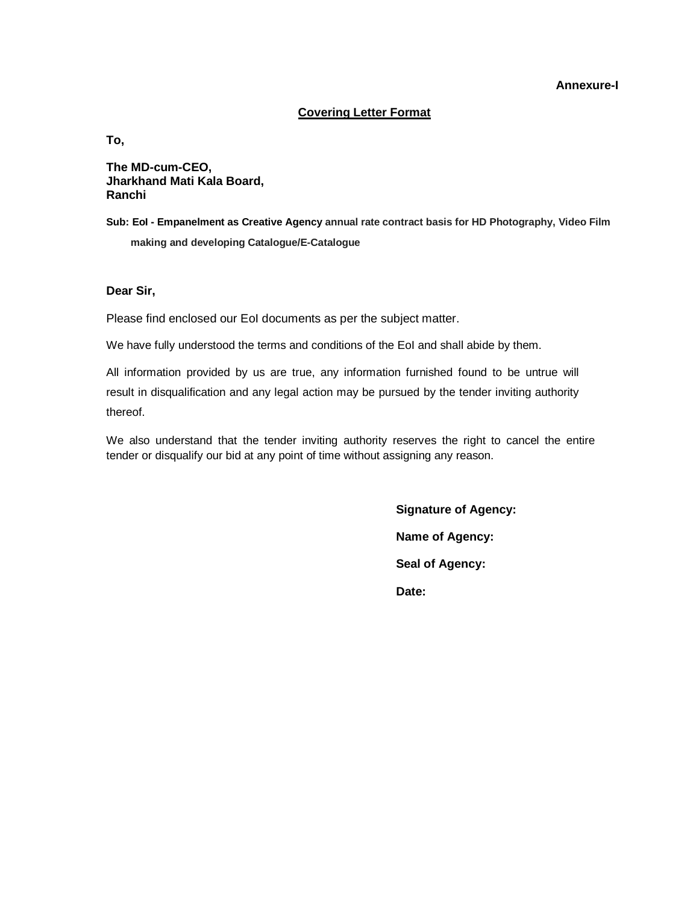#### **Annexure-I**

#### **Covering Letter Format**

**To,**

**The MD-cum-CEO, Jharkhand Mati Kala Board, Ranchi**

**Sub: EoI - Empanelment as Creative Agency annual rate contract basis for HD Photography, Video Film making and developing Catalogue/E-Catalogue**

**Dear Sir,**

Please find enclosed our EoI documents as per the subject matter.

We have fully understood the terms and conditions of the EoI and shall abide by them.

All information provided by us are true, any information furnished found to be untrue will result in disqualification and any legal action may be pursued by the tender inviting authority thereof.

We also understand that the tender inviting authority reserves the right to cancel the entire tender or disqualify our bid at any point of time without assigning any reason.

> **Signature of Agency: Name of Agency: Seal of Agency: Date:**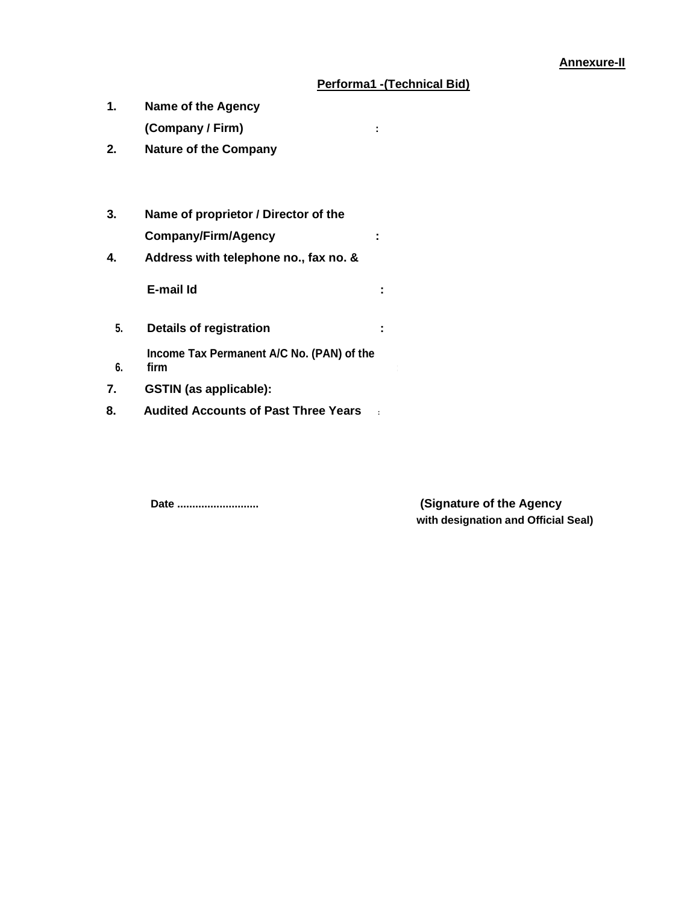#### **Annexure-II**

## **Performa1 -(Technical Bid)**

- **1. Name of the Agency (Company / Firm) :**
- **2. Nature of the Company**
- **3. Name of proprietor / Director of the Company/Firm/Agency :**
- **4. Address with telephone no., fax no. &**

**E-mail Id :**

**6.**

**5. Details of registration :**

**Income Tax Permanent A/C No. (PAN) of the firm :**

- **7. GSTIN (as applicable):**
- **8. Audited Accounts of Past Three Years :**

**Date ........................... (Signature of the Agency with designation and Official Seal)**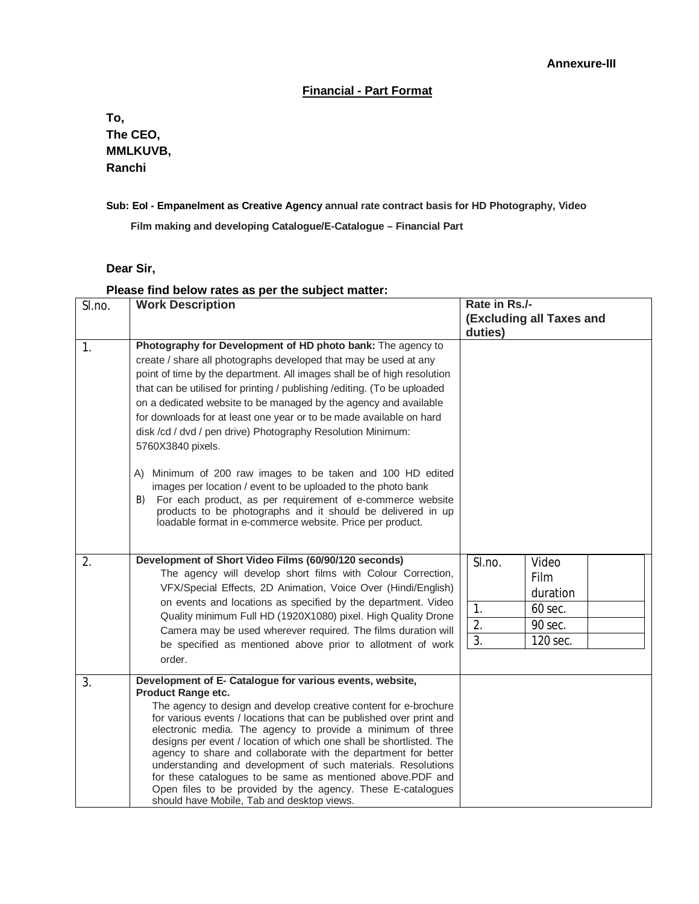#### **Financial - Part Format**

**To, The CEO, MMLKUVB, Ranchi**

#### **Sub: EoI - Empanelment as Creative Agency annual rate contract basis for HD Photography, Video**

**Film making and developing Catalogue/E-Catalogue – Financial Part**

#### **Dear Sir,**

## **Please find below rates as per the subject matter:**

| SI.no.<br>$\mathbf{1}$ . | <b>Work Description</b><br>Photography for Development of HD photo bank: The agency to<br>create / share all photographs developed that may be used at any<br>point of time by the department. All images shall be of high resolution<br>that can be utilised for printing / publishing / editing. (To be uploaded<br>on a dedicated website to be managed by the agency and available<br>for downloads for at least one year or to be made available on hard<br>disk /cd / dvd / pen drive) Photography Resolution Minimum:<br>5760X3840 pixels.<br>Minimum of 200 raw images to be taken and 100 HD edited<br>A)                                                                                                              | Rate in Rs./-<br>(Excluding all Taxes and<br>duties)                                           |
|--------------------------|---------------------------------------------------------------------------------------------------------------------------------------------------------------------------------------------------------------------------------------------------------------------------------------------------------------------------------------------------------------------------------------------------------------------------------------------------------------------------------------------------------------------------------------------------------------------------------------------------------------------------------------------------------------------------------------------------------------------------------|------------------------------------------------------------------------------------------------|
| 2.                       | images per location / event to be uploaded to the photo bank<br>For each product, as per requirement of e-commerce website<br>B)<br>products to be photographs and it should be delivered in up<br>loadable format in e-commerce website. Price per product.<br>Development of Short Video Films (60/90/120 seconds)<br>The agency will develop short films with Colour Correction,<br>VFX/Special Effects, 2D Animation, Voice Over (Hindi/English)<br>on events and locations as specified by the department. Video<br>Quality minimum Full HD (1920X1080) pixel. High Quality Drone<br>Camera may be used wherever required. The films duration will<br>be specified as mentioned above prior to allotment of work<br>order. | Video<br>SI.no.<br><b>Film</b><br>duration<br>1.<br>60 sec.<br>2.<br>90 sec.<br>3.<br>120 sec. |
| 3.                       | Development of E- Catalogue for various events, website,<br><b>Product Range etc.</b><br>The agency to design and develop creative content for e-brochure<br>for various events / locations that can be published over print and<br>electronic media. The agency to provide a minimum of three<br>designs per event / location of which one shall be shortlisted. The<br>agency to share and collaborate with the department for better<br>understanding and development of such materials. Resolutions<br>for these catalogues to be same as mentioned above.PDF and<br>Open files to be provided by the agency. These E-catalogues<br>should have Mobile, Tab and desktop views.                                              |                                                                                                |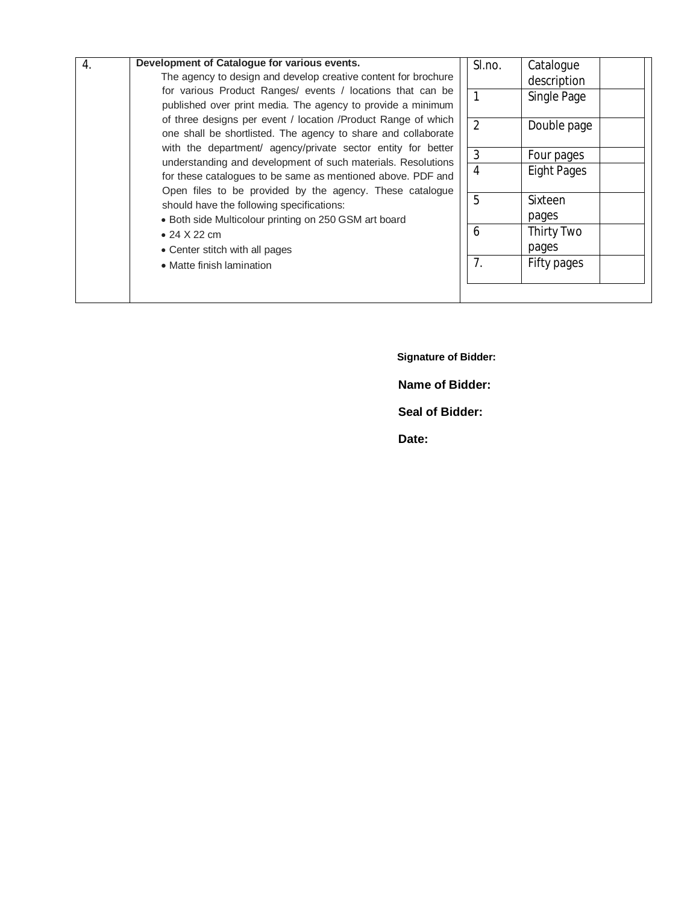| $\overline{4}$ . | Development of Catalogue for various events.                                                                                                                                                                                                            |  | SI.no.         | Catalogue          |  |
|------------------|---------------------------------------------------------------------------------------------------------------------------------------------------------------------------------------------------------------------------------------------------------|--|----------------|--------------------|--|
|                  | The agency to design and develop creative content for brochure<br>for various Product Ranges/ events / locations that can be<br>published over print media. The agency to provide a minimum                                                             |  |                | description        |  |
|                  |                                                                                                                                                                                                                                                         |  |                | Single Page        |  |
|                  | of three designs per event / location /Product Range of which<br>one shall be shortlisted. The agency to share and collaborate                                                                                                                          |  | $\overline{2}$ | Double page        |  |
|                  | with the department/ agency/private sector entity for better<br>understanding and development of such materials. Resolutions<br>for these catalogues to be same as mentioned above. PDF and<br>Open files to be provided by the agency. These catalogue |  | 3              | Four pages         |  |
|                  |                                                                                                                                                                                                                                                         |  | 4              | <b>Eight Pages</b> |  |
|                  | should have the following specifications:                                                                                                                                                                                                               |  | 5              | Sixteen            |  |
|                  | • Both side Multicolour printing on 250 GSM art board                                                                                                                                                                                                   |  |                | pages              |  |
|                  | $\bullet$ 24 X 22 cm                                                                                                                                                                                                                                    |  | 6              | Thirty Two         |  |
|                  | • Center stitch with all pages                                                                                                                                                                                                                          |  |                | pages              |  |
|                  | • Matte finish lamination                                                                                                                                                                                                                               |  | 7.             | Fifty pages        |  |
|                  |                                                                                                                                                                                                                                                         |  |                |                    |  |

**Signature of Bidder:**

**Name of Bidder:**

**Seal of Bidder:**

**Date:**